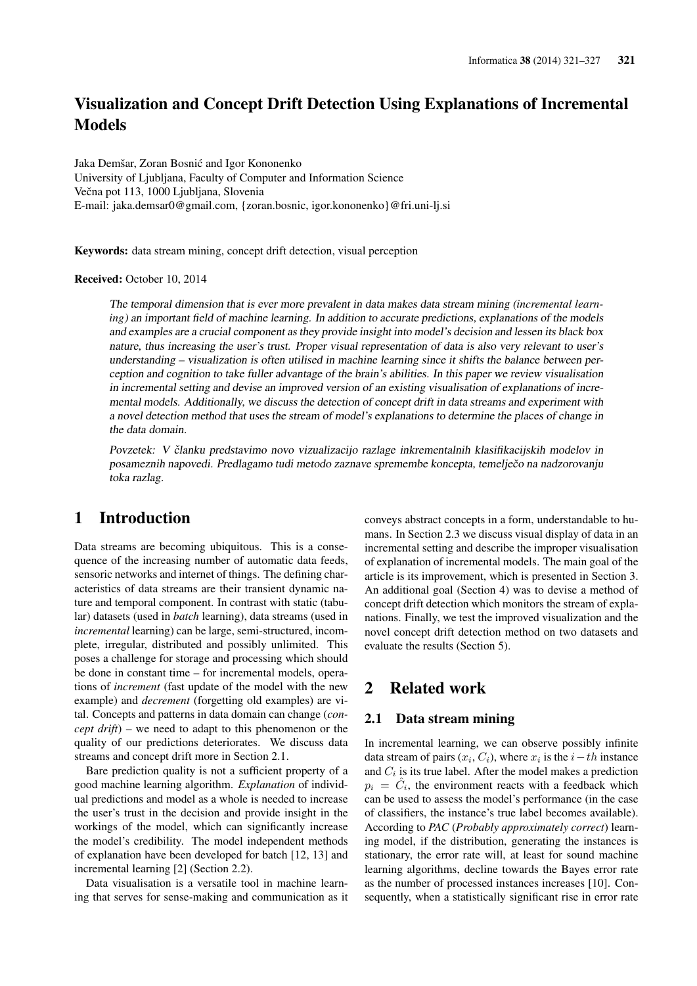# Visualization and Concept Drift Detection Using Explanations of Incremental **Models**

Jaka Demšar, Zoran Bosnic and Igor Kononenko ´ University of Ljubljana, Faculty of Computer and Information Science Večna pot 113, 1000 Ljubljana, Slovenia E-mail: jaka.demsar0@gmail.com, {zoran.bosnic, igor.kononenko}@fri.uni-lj.si

Keywords: data stream mining, concept drift detection, visual perception

Received: October 10, 2014

The temporal dimension that is ever more prevalent in data makes data stream mining (*incremental learning*) an important field of machine learning. In addition to accurate predictions, explanations of the models and examples are a crucial component as they provide insight into model's decision and lessen its black box nature, thus increasing the user's trust. Proper visual representation of data is also very relevant to user's understanding – visualization is often utilised in machine learning since it shifts the balance between perception and cognition to take fuller advantage of the brain's abilities. In this paper we review visualisation in incremental setting and devise an improved version of an existing visualisation of explanations of incremental models. Additionally, we discuss the detection of concept drift in data streams and experiment with a novel detection method that uses the stream of model's explanations to determine the places of change in the data domain.

Povzetek: V članku predstavimo novo vizualizacijo razlage inkrementalnih klasifikacijskih modelov in posameznih napovedi. Predlagamo tudi metodo zaznave spremembe koncepta, temelječo na nadzorovanju toka razlag.

# 1 Introduction

Data streams are becoming ubiquitous. This is a consequence of the increasing number of automatic data feeds, sensoric networks and internet of things. The defining characteristics of data streams are their transient dynamic nature and temporal component. In contrast with static (tabular) datasets (used in *batch* learning), data streams (used in *incremental* learning) can be large, semi-structured, incomplete, irregular, distributed and possibly unlimited. This poses a challenge for storage and processing which should be done in constant time – for incremental models, operations of *increment* (fast update of the model with the new example) and *decrement* (forgetting old examples) are vital. Concepts and patterns in data domain can change (*concept drift*) – we need to adapt to this phenomenon or the quality of our predictions deteriorates. We discuss data streams and concept drift more in Section 2.1.

Bare prediction quality is not a sufficient property of a good machine learning algorithm. *Explanation* of individual predictions and model as a whole is needed to increase the user's trust in the decision and provide insight in the workings of the model, which can significantly increase the model's credibility. The model independent methods of explanation have been developed for batch [12, 13] and incremental learning [2] (Section 2.2).

Data visualisation is a versatile tool in machine learning that serves for sense-making and communication as it conveys abstract concepts in a form, understandable to humans. In Section 2.3 we discuss visual display of data in an incremental setting and describe the improper visualisation of explanation of incremental models. The main goal of the article is its improvement, which is presented in Section 3. An additional goal (Section 4) was to devise a method of concept drift detection which monitors the stream of explanations. Finally, we test the improved visualization and the novel concept drift detection method on two datasets and evaluate the results (Section 5).

# 2 Related work

### 2.1 Data stream mining

In incremental learning, we can observe possibly infinite data stream of pairs  $(x_i, C_i)$ , where  $x_i$  is the  $i-th$  instance and  $C_i$  is its true label. After the model makes a prediction  $p_i = \hat{C}_i$ , the environment reacts with a feedback which can be used to assess the model's performance (in the case of classifiers, the instance's true label becomes available). According to *PAC* (*Probably approximately correct*) learning model, if the distribution, generating the instances is stationary, the error rate will, at least for sound machine learning algorithms, decline towards the Bayes error rate as the number of processed instances increases [10]. Consequently, when a statistically significant rise in error rate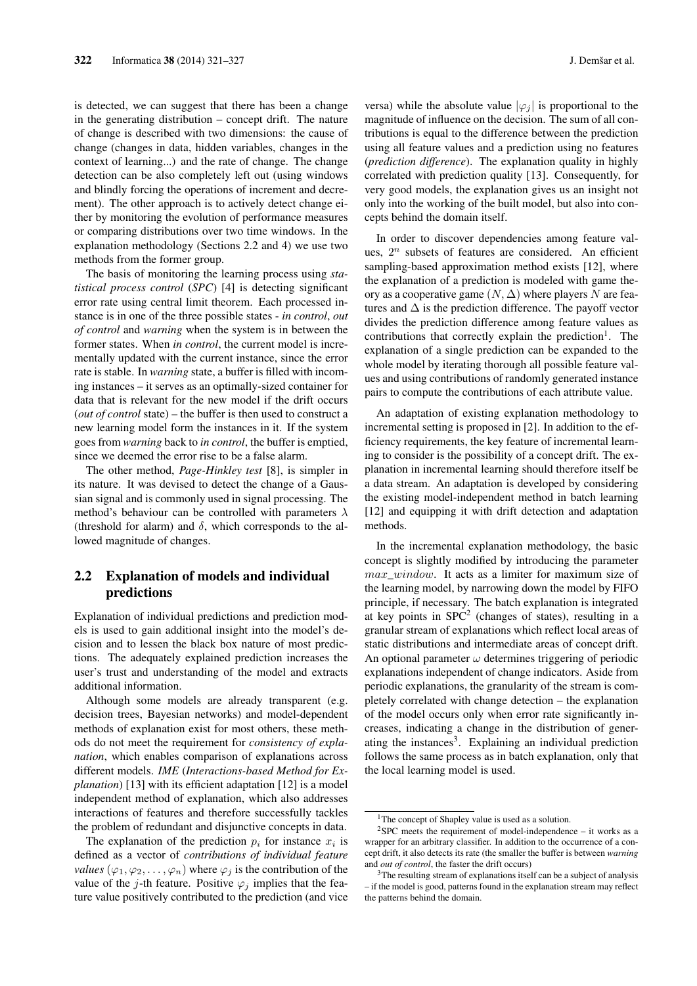is detected, we can suggest that there has been a change in the generating distribution – concept drift. The nature of change is described with two dimensions: the cause of change (changes in data, hidden variables, changes in the context of learning...) and the rate of change. The change detection can be also completely left out (using windows and blindly forcing the operations of increment and decrement). The other approach is to actively detect change either by monitoring the evolution of performance measures or comparing distributions over two time windows. In the explanation methodology (Sections 2.2 and 4) we use two methods from the former group.

The basis of monitoring the learning process using *statistical process control* (*SPC*) [4] is detecting significant error rate using central limit theorem. Each processed instance is in one of the three possible states - *in control*, *out of control* and *warning* when the system is in between the former states. When *in control*, the current model is incrementally updated with the current instance, since the error rate is stable. In *warning* state, a buffer is filled with incoming instances – it serves as an optimally-sized container for data that is relevant for the new model if the drift occurs (*out of control* state) – the buffer is then used to construct a new learning model form the instances in it. If the system goes from *warning* back to *in control*, the buffer is emptied, since we deemed the error rise to be a false alarm.

The other method, *Page-Hinkley test* [8], is simpler in its nature. It was devised to detect the change of a Gaussian signal and is commonly used in signal processing. The method's behaviour can be controlled with parameters  $\lambda$ (threshold for alarm) and  $\delta$ , which corresponds to the allowed magnitude of changes.

## 2.2 Explanation of models and individual predictions

Explanation of individual predictions and prediction models is used to gain additional insight into the model's decision and to lessen the black box nature of most predictions. The adequately explained prediction increases the user's trust and understanding of the model and extracts additional information.

Although some models are already transparent (e.g. decision trees, Bayesian networks) and model-dependent methods of explanation exist for most others, these methods do not meet the requirement for *consistency of explanation*, which enables comparison of explanations across different models. *IME* (*Interactions-based Method for Explanation*) [13] with its efficient adaptation [12] is a model independent method of explanation, which also addresses interactions of features and therefore successfully tackles the problem of redundant and disjunctive concepts in data.

The explanation of the prediction  $p_i$  for instance  $x_i$  is defined as a vector of *contributions of individual feature values*  $(\varphi_1, \varphi_2, \dots, \varphi_n)$  where  $\varphi_i$  is the contribution of the value of the j-th feature. Positive  $\varphi_i$  implies that the feature value positively contributed to the prediction (and vice versa) while the absolute value  $|\varphi_i|$  is proportional to the magnitude of influence on the decision. The sum of all contributions is equal to the difference between the prediction using all feature values and a prediction using no features (*prediction difference*). The explanation quality in highly correlated with prediction quality [13]. Consequently, for very good models, the explanation gives us an insight not only into the working of the built model, but also into concepts behind the domain itself.

In order to discover dependencies among feature values,  $2^n$  subsets of features are considered. An efficient sampling-based approximation method exists [12], where the explanation of a prediction is modeled with game theory as a cooperative game  $(N, \Delta)$  where players N are features and  $\Delta$  is the prediction difference. The payoff vector divides the prediction difference among feature values as contributions that correctly explain the prediction<sup>1</sup>. The explanation of a single prediction can be expanded to the whole model by iterating thorough all possible feature values and using contributions of randomly generated instance pairs to compute the contributions of each attribute value.

An adaptation of existing explanation methodology to incremental setting is proposed in [2]. In addition to the efficiency requirements, the key feature of incremental learning to consider is the possibility of a concept drift. The explanation in incremental learning should therefore itself be a data stream. An adaptation is developed by considering the existing model-independent method in batch learning [12] and equipping it with drift detection and adaptation methods.

In the incremental explanation methodology, the basic concept is slightly modified by introducing the parameter max window. It acts as a limiter for maximum size of the learning model, by narrowing down the model by FIFO principle, if necessary. The batch explanation is integrated at key points in  $SPC<sup>2</sup>$  (changes of states), resulting in a granular stream of explanations which reflect local areas of static distributions and intermediate areas of concept drift. An optional parameter  $\omega$  determines triggering of periodic explanations independent of change indicators. Aside from periodic explanations, the granularity of the stream is completely correlated with change detection – the explanation of the model occurs only when error rate significantly increases, indicating a change in the distribution of generating the instances<sup>3</sup>. Explaining an individual prediction follows the same process as in batch explanation, only that the local learning model is used.

<sup>&</sup>lt;sup>1</sup>The concept of Shapley value is used as a solution.

 $2$ SPC meets the requirement of model-independence – it works as a wrapper for an arbitrary classifier. In addition to the occurrence of a concept drift, it also detects its rate (the smaller the buffer is between *warning* and *out of control*, the faster the drift occurs)

<sup>&</sup>lt;sup>3</sup>The resulting stream of explanations itself can be a subject of analysis – if the model is good, patterns found in the explanation stream may reflect the patterns behind the domain.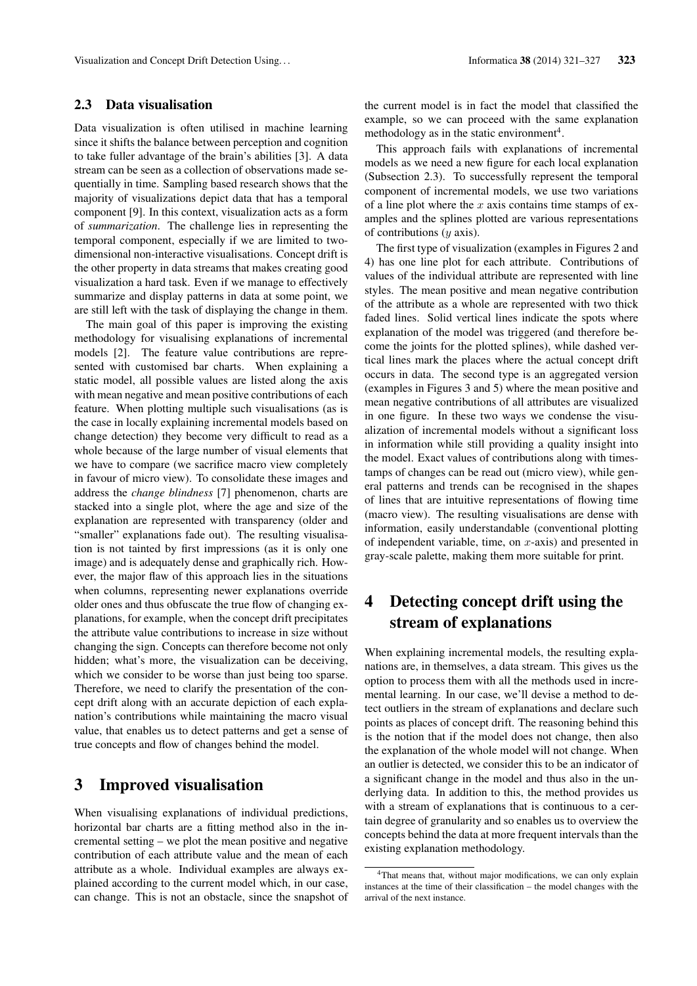### 2.3 Data visualisation

Data visualization is often utilised in machine learning since it shifts the balance between perception and cognition to take fuller advantage of the brain's abilities [3]. A data stream can be seen as a collection of observations made sequentially in time. Sampling based research shows that the majority of visualizations depict data that has a temporal component [9]. In this context, visualization acts as a form of *summarization*. The challenge lies in representing the temporal component, especially if we are limited to twodimensional non-interactive visualisations. Concept drift is the other property in data streams that makes creating good visualization a hard task. Even if we manage to effectively summarize and display patterns in data at some point, we are still left with the task of displaying the change in them.

The main goal of this paper is improving the existing methodology for visualising explanations of incremental models [2]. The feature value contributions are represented with customised bar charts. When explaining a static model, all possible values are listed along the axis with mean negative and mean positive contributions of each feature. When plotting multiple such visualisations (as is the case in locally explaining incremental models based on change detection) they become very difficult to read as a whole because of the large number of visual elements that we have to compare (we sacrifice macro view completely in favour of micro view). To consolidate these images and address the *change blindness* [7] phenomenon, charts are stacked into a single plot, where the age and size of the explanation are represented with transparency (older and "smaller" explanations fade out). The resulting visualisation is not tainted by first impressions (as it is only one image) and is adequately dense and graphically rich. However, the major flaw of this approach lies in the situations when columns, representing newer explanations override older ones and thus obfuscate the true flow of changing explanations, for example, when the concept drift precipitates the attribute value contributions to increase in size without changing the sign. Concepts can therefore become not only hidden; what's more, the visualization can be deceiving, which we consider to be worse than just being too sparse. Therefore, we need to clarify the presentation of the concept drift along with an accurate depiction of each explanation's contributions while maintaining the macro visual value, that enables us to detect patterns and get a sense of true concepts and flow of changes behind the model.

## 3 Improved visualisation

When visualising explanations of individual predictions, horizontal bar charts are a fitting method also in the incremental setting – we plot the mean positive and negative contribution of each attribute value and the mean of each attribute as a whole. Individual examples are always explained according to the current model which, in our case, can change. This is not an obstacle, since the snapshot of the current model is in fact the model that classified the example, so we can proceed with the same explanation methodology as in the static environment<sup>4</sup>.

This approach fails with explanations of incremental models as we need a new figure for each local explanation (Subsection 2.3). To successfully represent the temporal component of incremental models, we use two variations of a line plot where the  $x$  axis contains time stamps of examples and the splines plotted are various representations of contributions  $(y \text{ axis})$ .

The first type of visualization (examples in Figures 2 and 4) has one line plot for each attribute. Contributions of values of the individual attribute are represented with line styles. The mean positive and mean negative contribution of the attribute as a whole are represented with two thick faded lines. Solid vertical lines indicate the spots where explanation of the model was triggered (and therefore become the joints for the plotted splines), while dashed vertical lines mark the places where the actual concept drift occurs in data. The second type is an aggregated version (examples in Figures 3 and 5) where the mean positive and mean negative contributions of all attributes are visualized in one figure. In these two ways we condense the visualization of incremental models without a significant loss in information while still providing a quality insight into the model. Exact values of contributions along with timestamps of changes can be read out (micro view), while general patterns and trends can be recognised in the shapes of lines that are intuitive representations of flowing time (macro view). The resulting visualisations are dense with information, easily understandable (conventional plotting of independent variable, time, on  $x$ -axis) and presented in gray-scale palette, making them more suitable for print.

# 4 Detecting concept drift using the stream of explanations

When explaining incremental models, the resulting explanations are, in themselves, a data stream. This gives us the option to process them with all the methods used in incremental learning. In our case, we'll devise a method to detect outliers in the stream of explanations and declare such points as places of concept drift. The reasoning behind this is the notion that if the model does not change, then also the explanation of the whole model will not change. When an outlier is detected, we consider this to be an indicator of a significant change in the model and thus also in the underlying data. In addition to this, the method provides us with a stream of explanations that is continuous to a certain degree of granularity and so enables us to overview the concepts behind the data at more frequent intervals than the existing explanation methodology.

<sup>&</sup>lt;sup>4</sup>That means that, without major modifications, we can only explain instances at the time of their classification – the model changes with the arrival of the next instance.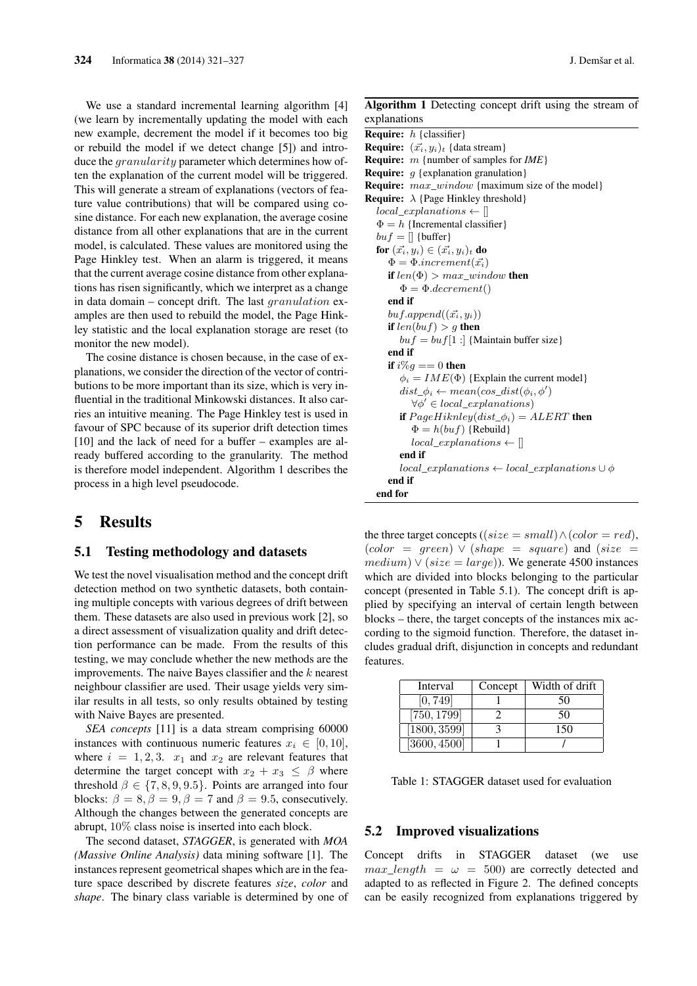We use a standard incremental learning algorithm [4] (we learn by incrementally updating the model with each new example, decrement the model if it becomes too big or rebuild the model if we detect change [5]) and introduce the *granularity* parameter which determines how often the explanation of the current model will be triggered. This will generate a stream of explanations (vectors of feature value contributions) that will be compared using cosine distance. For each new explanation, the average cosine distance from all other explanations that are in the current model, is calculated. These values are monitored using the Page Hinkley test. When an alarm is triggered, it means that the current average cosine distance from other explanations has risen significantly, which we interpret as a change in data domain – concept drift. The last *granulation* examples are then used to rebuild the model, the Page Hinkley statistic and the local explanation storage are reset (to monitor the new model).

The cosine distance is chosen because, in the case of explanations, we consider the direction of the vector of contributions to be more important than its size, which is very influential in the traditional Minkowski distances. It also carries an intuitive meaning. The Page Hinkley test is used in favour of SPC because of its superior drift detection times [10] and the lack of need for a buffer – examples are already buffered according to the granularity. The method is therefore model independent. Algorithm 1 describes the process in a high level pseudocode.

## 5 Results

#### 5.1 Testing methodology and datasets

We test the novel visualisation method and the concept drift detection method on two synthetic datasets, both containing multiple concepts with various degrees of drift between them. These datasets are also used in previous work [2], so a direct assessment of visualization quality and drift detection performance can be made. From the results of this testing, we may conclude whether the new methods are the improvements. The naive Bayes classifier and the  $k$  nearest neighbour classifier are used. Their usage yields very similar results in all tests, so only results obtained by testing with Naive Bayes are presented.

*SEA concepts* [11] is a data stream comprising 60000 instances with continuous numeric features  $x_i \in [0, 10]$ , where  $i = 1, 2, 3$ .  $x_1$  and  $x_2$  are relevant features that determine the target concept with  $x_2 + x_3 \leq \beta$  where threshold  $\beta \in \{7, 8, 9, 9.5\}$ . Points are arranged into four blocks:  $\beta = 8$ ,  $\beta = 9$ ,  $\beta = 7$  and  $\beta = 9.5$ , consecutively. Although the changes between the generated concepts are abrupt, 10% class noise is inserted into each block.

The second dataset, *STAGGER*, is generated with *MOA (Massive Online Analysis)* data mining software [1]. The instances represent geometrical shapes which are in the feature space described by discrete features *size*, *color* and *shape*. The binary class variable is determined by one of

### Algorithm 1 Detecting concept drift using the stream of explanations

**Require:**  $h$  {classifier} **Require:**  $(\vec{x_i}, y_i)_t$  {data stream} Require: m {number of samples for *IME*} **Require:**  $g$  {explanation granulation} Require:  $max\_window$  {maximum size of the model} **Require:**  $\lambda$  {Page Hinkley threshold}  $local\_explanations \leftarrow []$  $\Phi = h$  {Incremental classifier}  $buf = []$  {buffer} for  $(\vec{x_i}, y_i) \in (\vec{x_i}, y_i)_t$  do  $\Phi = \Phi.increment(\vec{x_i})$ if  $len(\Phi) > max\_window$  then  $\Phi = \Phi \cdot \text{decrement}()$ end if  $buf.append((\vec{x_i}, y_i))$ if  $len(buf) > g$  then  $buf =buf[1:]$  {Maintain buffer size} end if if  $i\%q == 0$  then  $\phi_i = I M E(\Phi)$  {Explain the current model}  $dist\_\phi_i \leftarrow mean(cos\_dist(\phi_i, \phi'))$  $\forall \phi' \in local\_explanations$ ) if  $PageHiknley(dist_\phi_i) = ALERT$  then  $\Phi = h(buf)$  {Rebuild}  $local\_explanations \leftarrow []$ end if  $local\_explanations \leftarrow local\_explanations \cup \phi$ end if end for

the three target concepts ((size = small)  $\land$  (color = red),  $(color = green) \vee (shape = square)$  and  $(size =$  $medium) \vee (size = large)$ ). We generate 4500 instances which are divided into blocks belonging to the particular concept (presented in Table 5.1). The concept drift is applied by specifying an interval of certain length between blocks – there, the target concepts of the instances mix according to the sigmoid function. Therefore, the dataset includes gradual drift, disjunction in concepts and redundant features.

| Interval     | Concept | Width of drift |
|--------------|---------|----------------|
| [0, 749]     |         | 50             |
| [750, 1799]  |         | 50             |
| [1800, 3599] |         | 150            |
| [3600, 4500] |         |                |

Table 1: STAGGER dataset used for evaluation

### 5.2 Improved visualizations

Concept drifts in STAGGER dataset (we use max length =  $\omega$  = 500) are correctly detected and adapted to as reflected in Figure 2. The defined concepts can be easily recognized from explanations triggered by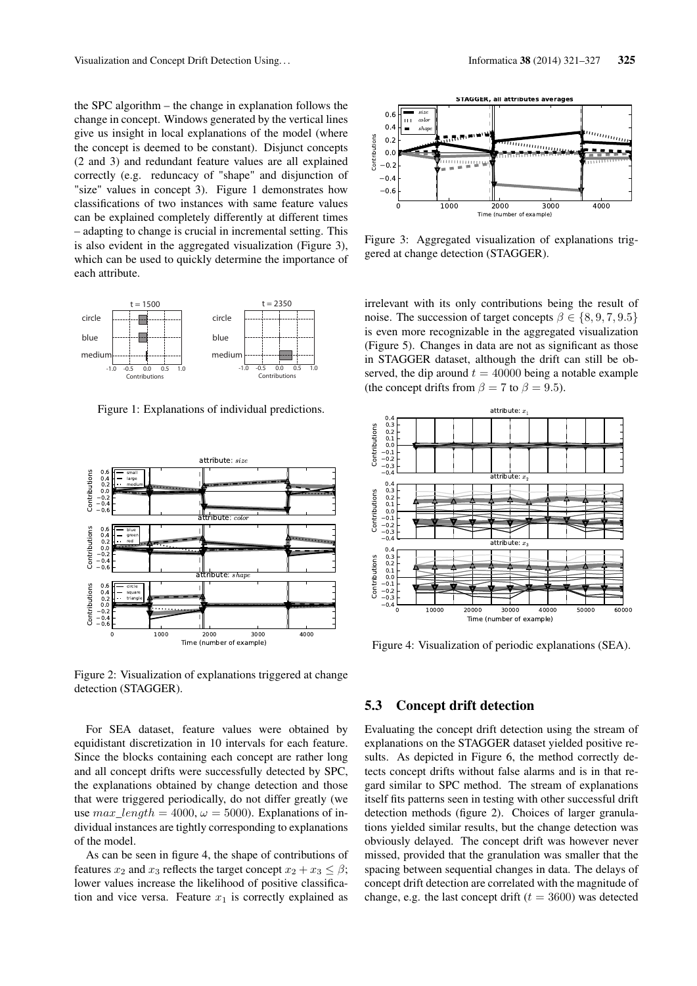the SPC algorithm – the change in explanation follows the change in concept. Windows generated by the vertical lines give us insight in local explanations of the model (where the concept is deemed to be constant). Disjunct concepts (2 and 3) and redundant feature values are all explained correctly (e.g. reduncacy of "shape" and disjunction of "size" values in concept 3). Figure 1 demonstrates how classifications of two instances with same feature values can be explained completely differently at different times – adapting to change is crucial in incremental setting. This is also evident in the aggregated visualization (Figure 3), which can be used to quickly determine the importance of each attribute.



Figure 1: Explanations of individual predictions.



Figure 2: Visualization of explanations triggered at change detection (STAGGER).

For SEA dataset, feature values were obtained by equidistant discretization in 10 intervals for each feature. Since the blocks containing each concept are rather long and all concept drifts were successfully detected by SPC, the explanations obtained by change detection and those that were triggered periodically, do not differ greatly (we use  $max\_length = 4000$ ,  $\omega = 5000$ . Explanations of individual instances are tightly corresponding to explanations of the model.

As can be seen in figure 4, the shape of contributions of features  $x_2$  and  $x_3$  reflects the target concept  $x_2 + x_3 \leq \beta$ ; lower values increase the likelihood of positive classification and vice versa. Feature  $x_1$  is correctly explained as



Figure 3: Aggregated visualization of explanations triggered at change detection (STAGGER).

irrelevant with its only contributions being the result of noise. The succession of target concepts  $\beta \in \{8, 9, 7, 9.5\}$ is even more recognizable in the aggregated visualization (Figure 5). Changes in data are not as significant as those in STAGGER dataset, although the drift can still be observed, the dip around  $t = 40000$  being a notable example (the concept drifts from  $\beta = 7$  to  $\beta = 9.5$ ).



Figure 4: Visualization of periodic explanations (SEA).

#### 5.3 Concept drift detection

Evaluating the concept drift detection using the stream of explanations on the STAGGER dataset yielded positive results. As depicted in Figure 6, the method correctly detects concept drifts without false alarms and is in that regard similar to SPC method. The stream of explanations itself fits patterns seen in testing with other successful drift detection methods (figure 2). Choices of larger granulations yielded similar results, but the change detection was obviously delayed. The concept drift was however never missed, provided that the granulation was smaller that the spacing between sequential changes in data. The delays of concept drift detection are correlated with the magnitude of change, e.g. the last concept drift ( $t = 3600$ ) was detected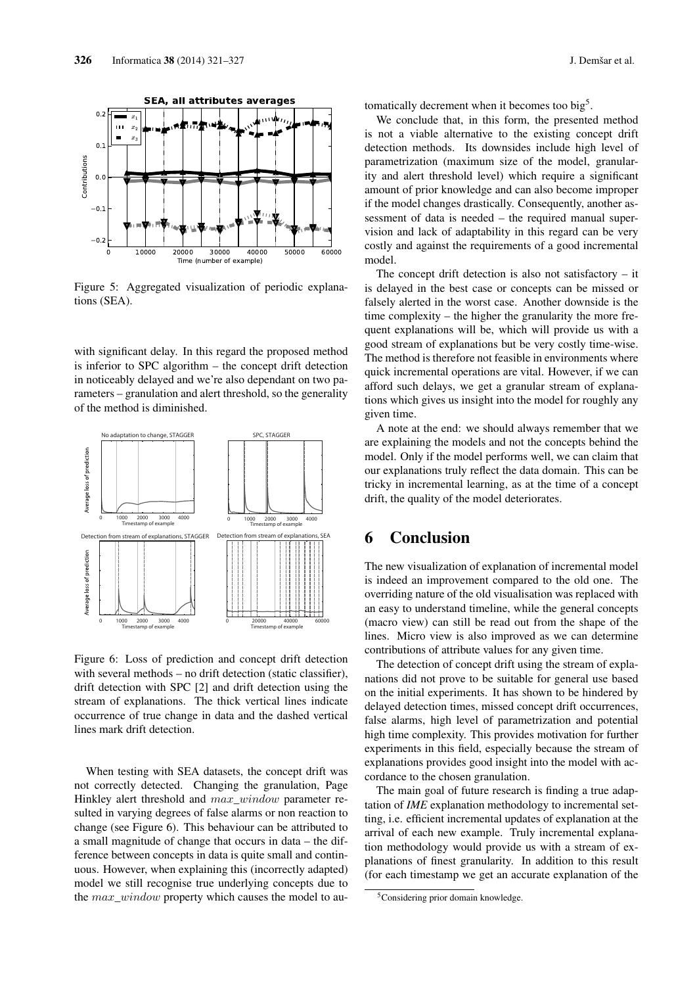

Figure 5: Aggregated visualization of periodic explanations (SEA).

with significant delay. In this regard the proposed method is inferior to SPC algorithm – the concept drift detection in noticeably delayed and we're also dependant on two parameters – granulation and alert threshold, so the generality of the method is diminished.



Figure 6: Loss of prediction and concept drift detection with several methods – no drift detection (static classifier), drift detection with SPC [2] and drift detection using the stream of explanations. The thick vertical lines indicate occurrence of true change in data and the dashed vertical lines mark drift detection.

When testing with SEA datasets, the concept drift was not correctly detected. Changing the granulation, Page Hinkley alert threshold and  $max\_window$  parameter resulted in varying degrees of false alarms or non reaction to change (see Figure 6). This behaviour can be attributed to a small magnitude of change that occurs in data – the difference between concepts in data is quite small and continuous. However, when explaining this (incorrectly adapted) model we still recognise true underlying concepts due to the  $max\_window$  property which causes the model to automatically decrement when it becomes too big<sup>5</sup>.

We conclude that, in this form, the presented method is not a viable alternative to the existing concept drift detection methods. Its downsides include high level of parametrization (maximum size of the model, granularity and alert threshold level) which require a significant amount of prior knowledge and can also become improper if the model changes drastically. Consequently, another assessment of data is needed – the required manual supervision and lack of adaptability in this regard can be very costly and against the requirements of a good incremental model.

The concept drift detection is also not satisfactory  $-$  it is delayed in the best case or concepts can be missed or falsely alerted in the worst case. Another downside is the time complexity – the higher the granularity the more frequent explanations will be, which will provide us with a good stream of explanations but be very costly time-wise. The method is therefore not feasible in environments where quick incremental operations are vital. However, if we can afford such delays, we get a granular stream of explanations which gives us insight into the model for roughly any given time.

A note at the end: we should always remember that we are explaining the models and not the concepts behind the model. Only if the model performs well, we can claim that our explanations truly reflect the data domain. This can be tricky in incremental learning, as at the time of a concept drift, the quality of the model deteriorates.

## 6 Conclusion

The new visualization of explanation of incremental model is indeed an improvement compared to the old one. The overriding nature of the old visualisation was replaced with an easy to understand timeline, while the general concepts (macro view) can still be read out from the shape of the lines. Micro view is also improved as we can determine contributions of attribute values for any given time.

The detection of concept drift using the stream of explanations did not prove to be suitable for general use based on the initial experiments. It has shown to be hindered by delayed detection times, missed concept drift occurrences, false alarms, high level of parametrization and potential high time complexity. This provides motivation for further experiments in this field, especially because the stream of explanations provides good insight into the model with accordance to the chosen granulation.

The main goal of future research is finding a true adaptation of *IME* explanation methodology to incremental setting, i.e. efficient incremental updates of explanation at the arrival of each new example. Truly incremental explanation methodology would provide us with a stream of explanations of finest granularity. In addition to this result (for each timestamp we get an accurate explanation of the

<sup>5</sup>Considering prior domain knowledge.